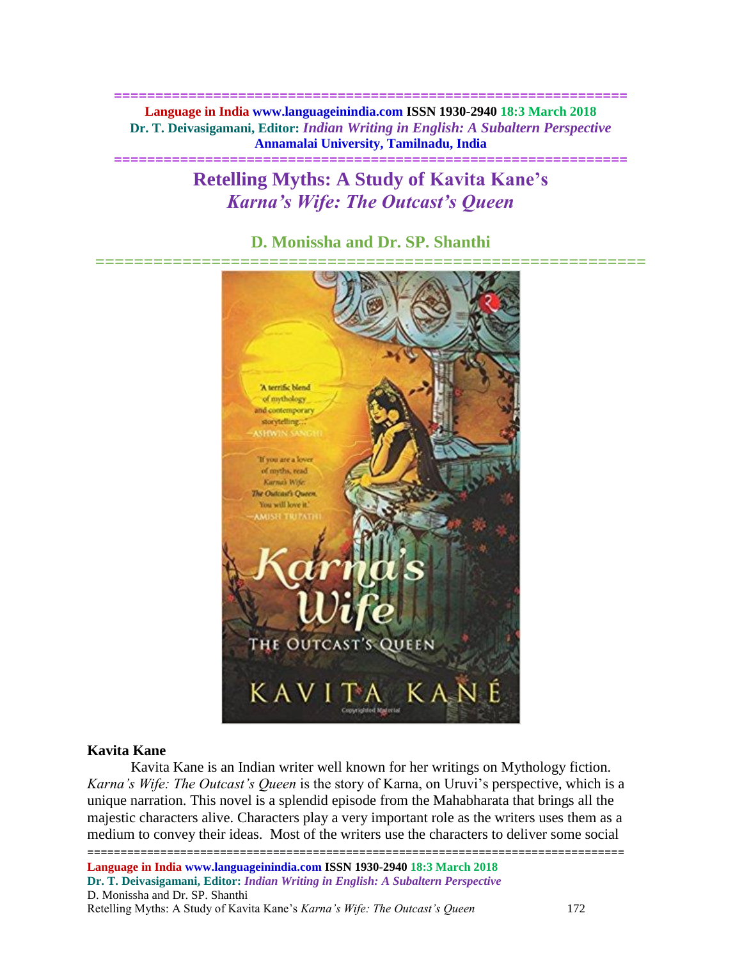**============================================================== Language in India www.languageinindia.com ISSN 1930-2940 18:3 March 2018 Dr. T. Deivasigamani, Editor:** *Indian Writing in English: A Subaltern Perspective* **Annamalai University, Tamilnadu, India**

# **Retelling Myths: A Study of Kavita Kane's**  *Karna's Wife: The Outcast's Queen*

**==============================================================**

**D. Monissha and Dr. SP. Shanthi**



#### **Kavita Kane**

Kavita Kane is an Indian writer well known for her writings on Mythology fiction. *Karna's Wife: The Outcast's Queen* is the story of Karna, on Uruvi's perspective, which is a unique narration. This novel is a splendid episode from the Mahabharata that brings all the majestic characters alive. Characters play a very important role as the writers uses them as a medium to convey their ideas. Most of the writers use the characters to deliver some social

================================================================================= **Language in India www.languageinindia.com ISSN 1930-2940 18:3 March 2018 Dr. T. Deivasigamani, Editor:** *Indian Writing in English: A Subaltern Perspective* D. Monissha and Dr. SP. Shanthi Retelling Myths: A Study of Kavita Kane's *Karna's Wife: The Outcast's Queen* 172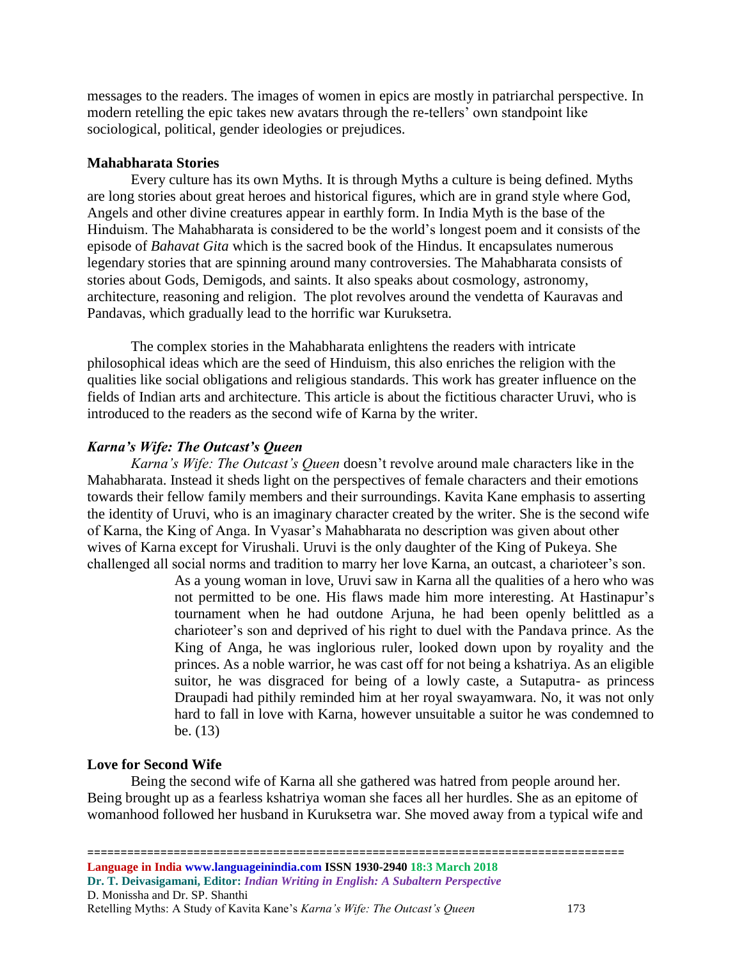messages to the readers. The images of women in epics are mostly in patriarchal perspective. In modern retelling the epic takes new avatars through the re-tellers' own standpoint like sociological, political, gender ideologies or prejudices.

#### **Mahabharata Stories**

Every culture has its own Myths. It is through Myths a culture is being defined. Myths are long stories about great heroes and historical figures, which are in grand style where God, Angels and other divine creatures appear in earthly form. In India Myth is the base of the Hinduism. The Mahabharata is considered to be the world's longest poem and it consists of the episode of *Bahavat Gita* which is the sacred book of the Hindus. It encapsulates numerous legendary stories that are spinning around many controversies. The Mahabharata consists of stories about Gods, Demigods, and saints. It also speaks about cosmology, astronomy, architecture, reasoning and religion. The plot revolves around the vendetta of Kauravas and Pandavas, which gradually lead to the horrific war Kuruksetra.

The complex stories in the Mahabharata enlightens the readers with intricate philosophical ideas which are the seed of Hinduism, this also enriches the religion with the qualities like social obligations and religious standards. This work has greater influence on the fields of Indian arts and architecture. This article is about the fictitious character Uruvi, who is introduced to the readers as the second wife of Karna by the writer.

## *Karna's Wife: The Outcast's Queen*

*Karna's Wife: The Outcast's Queen* doesn't revolve around male characters like in the Mahabharata. Instead it sheds light on the perspectives of female characters and their emotions towards their fellow family members and their surroundings. Kavita Kane emphasis to asserting the identity of Uruvi, who is an imaginary character created by the writer. She is the second wife of Karna, the King of Anga. In Vyasar's Mahabharata no description was given about other wives of Karna except for Virushali. Uruvi is the only daughter of the King of Pukeya. She challenged all social norms and tradition to marry her love Karna, an outcast, a charioteer's son.

> As a young woman in love, Uruvi saw in Karna all the qualities of a hero who was not permitted to be one. His flaws made him more interesting. At Hastinapur's tournament when he had outdone Arjuna, he had been openly belittled as a charioteer's son and deprived of his right to duel with the Pandava prince. As the King of Anga, he was inglorious ruler, looked down upon by royality and the princes. As a noble warrior, he was cast off for not being a kshatriya. As an eligible suitor, he was disgraced for being of a lowly caste, a Sutaputra- as princess Draupadi had pithily reminded him at her royal swayamwara. No, it was not only hard to fall in love with Karna, however unsuitable a suitor he was condemned to be. (13)

#### **Love for Second Wife**

Being the second wife of Karna all she gathered was hatred from people around her. Being brought up as a fearless kshatriya woman she faces all her hurdles. She as an epitome of womanhood followed her husband in Kuruksetra war. She moved away from a typical wife and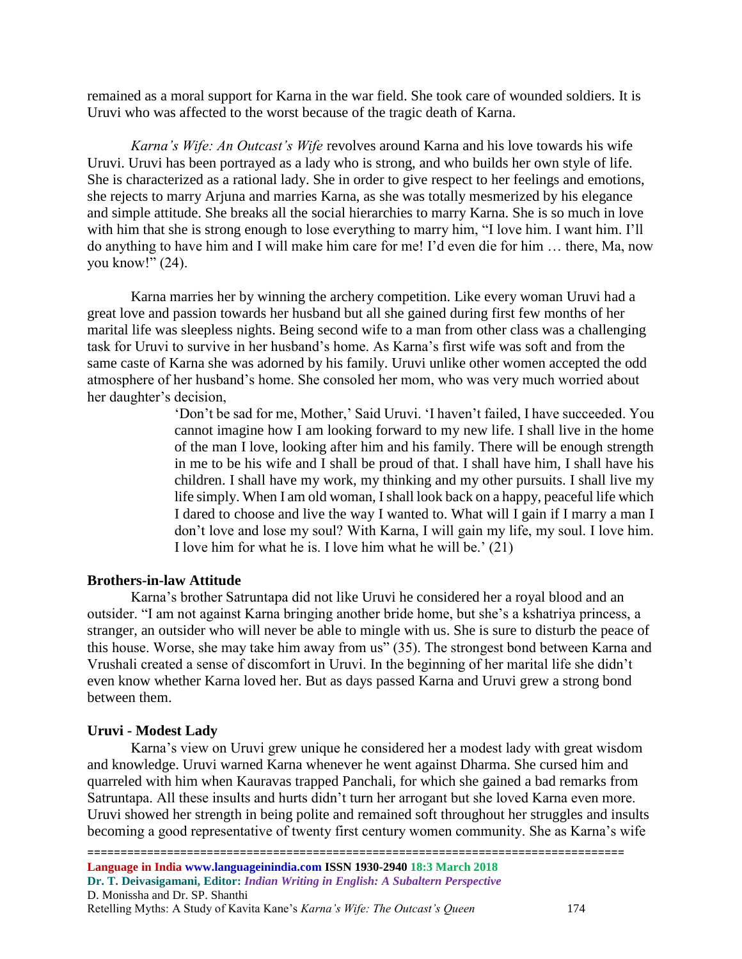remained as a moral support for Karna in the war field. She took care of wounded soldiers. It is Uruvi who was affected to the worst because of the tragic death of Karna.

*Karna's Wife: An Outcast's Wife* revolves around Karna and his love towards his wife Uruvi. Uruvi has been portrayed as a lady who is strong, and who builds her own style of life. She is characterized as a rational lady. She in order to give respect to her feelings and emotions, she rejects to marry Arjuna and marries Karna, as she was totally mesmerized by his elegance and simple attitude. She breaks all the social hierarchies to marry Karna. She is so much in love with him that she is strong enough to lose everything to marry him, "I love him. I want him. I'll do anything to have him and I will make him care for me! I'd even die for him … there, Ma, now you know!" (24).

Karna marries her by winning the archery competition. Like every woman Uruvi had a great love and passion towards her husband but all she gained during first few months of her marital life was sleepless nights. Being second wife to a man from other class was a challenging task for Uruvi to survive in her husband's home. As Karna's first wife was soft and from the same caste of Karna she was adorned by his family. Uruvi unlike other women accepted the odd atmosphere of her husband's home. She consoled her mom, who was very much worried about her daughter's decision,

> 'Don't be sad for me, Mother,' Said Uruvi. 'I haven't failed, I have succeeded. You cannot imagine how I am looking forward to my new life. I shall live in the home of the man I love, looking after him and his family. There will be enough strength in me to be his wife and I shall be proud of that. I shall have him, I shall have his children. I shall have my work, my thinking and my other pursuits. I shall live my life simply. When I am old woman, I shall look back on a happy, peaceful life which I dared to choose and live the way I wanted to. What will I gain if I marry a man I don't love and lose my soul? With Karna, I will gain my life, my soul. I love him. I love him for what he is. I love him what he will be.' (21)

#### **Brothers-in-law Attitude**

Karna's brother Satruntapa did not like Uruvi he considered her a royal blood and an outsider. "I am not against Karna bringing another bride home, but she's a kshatriya princess, a stranger, an outsider who will never be able to mingle with us. She is sure to disturb the peace of this house. Worse, she may take him away from us" (35). The strongest bond between Karna and Vrushali created a sense of discomfort in Uruvi. In the beginning of her marital life she didn't even know whether Karna loved her. But as days passed Karna and Uruvi grew a strong bond between them.

# **Uruvi - Modest Lady**

Karna's view on Uruvi grew unique he considered her a modest lady with great wisdom and knowledge. Uruvi warned Karna whenever he went against Dharma. She cursed him and quarreled with him when Kauravas trapped Panchali, for which she gained a bad remarks from Satruntapa. All these insults and hurts didn't turn her arrogant but she loved Karna even more. Uruvi showed her strength in being polite and remained soft throughout her struggles and insults becoming a good representative of twenty first century women community. She as Karna's wife